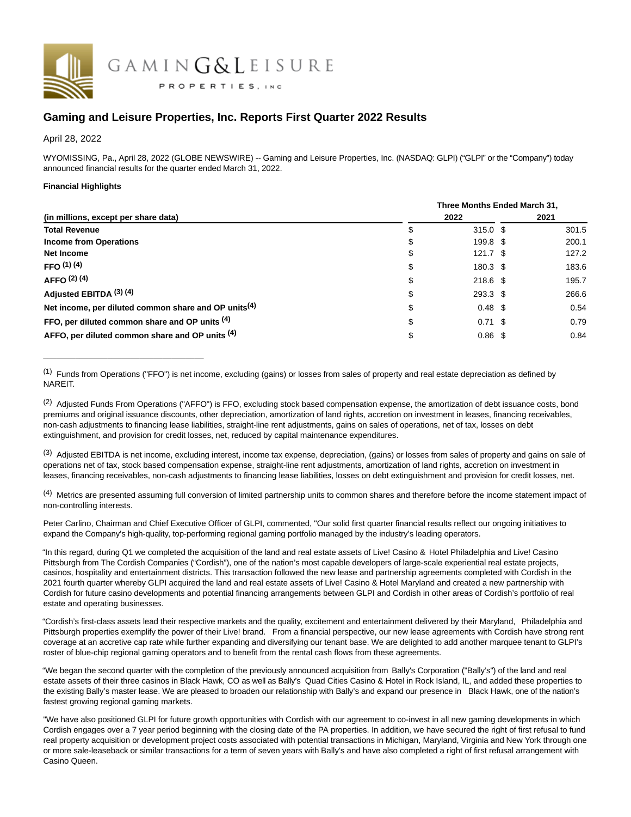

# **Gaming and Leisure Properties, Inc. Reports First Quarter 2022 Results**

April 28, 2022

WYOMISSING, Pa., April 28, 2022 (GLOBE NEWSWIRE) -- Gaming and Leisure Properties, Inc. (NASDAQ: GLPI) ("GLPI" or the "Company") today announced financial results for the quarter ended March 31, 2022.

# **Financial Highlights**

\_\_\_\_\_\_\_\_\_\_\_\_\_\_\_\_\_\_\_\_\_\_\_\_\_\_\_\_\_\_\_\_\_\_\_

|                                                                  | Three Months Ended March 31, |                    |  |       |  |  |
|------------------------------------------------------------------|------------------------------|--------------------|--|-------|--|--|
| (in millions, except per share data)                             |                              | 2022               |  | 2021  |  |  |
| <b>Total Revenue</b>                                             | \$                           | $315.0$ \$         |  | 301.5 |  |  |
| <b>Income from Operations</b>                                    | \$                           | 199.8 \$           |  | 200.1 |  |  |
| Net Income                                                       | \$                           | $121.7$ \$         |  | 127.2 |  |  |
| FFO $(1)$ $(4)$                                                  | \$                           | 180.3 \$           |  | 183.6 |  |  |
| AFFO $(2)$ $(4)$                                                 | \$                           | $218.6$ \$         |  | 195.7 |  |  |
| Adjusted EBITDA (3) (4)                                          | \$                           | $293.3$ \$         |  | 266.6 |  |  |
| Net income, per diluted common share and OP units <sup>(4)</sup> | \$                           | $0.48 \text{ } $$  |  | 0.54  |  |  |
| FFO, per diluted common share and OP units (4)                   | \$                           | $0.71 \text{ }$ \$ |  | 0.79  |  |  |
| AFFO, per diluted common share and OP units (4)                  | \$                           | $0.86$ \$          |  | 0.84  |  |  |

 $(1)$  Funds from Operations ("FFO") is net income, excluding (gains) or losses from sales of property and real estate depreciation as defined by NAREIT.

<sup>(2)</sup> Adjusted Funds From Operations ("AFFO") is FFO, excluding stock based compensation expense, the amortization of debt issuance costs, bond premiums and original issuance discounts, other depreciation, amortization of land rights, accretion on investment in leases, financing receivables, non-cash adjustments to financing lease liabilities, straight-line rent adjustments, gains on sales of operations, net of tax, losses on debt extinguishment, and provision for credit losses, net, reduced by capital maintenance expenditures.

<sup>(3)</sup> Adjusted EBITDA is net income, excluding interest, income tax expense, depreciation, (gains) or losses from sales of property and gains on sale of operations net of tax, stock based compensation expense, straight-line rent adjustments, amortization of land rights, accretion on investment in leases, financing receivables, non-cash adjustments to financing lease liabilities, losses on debt extinguishment and provision for credit losses, net.

(4) Metrics are presented assuming full conversion of limited partnership units to common shares and therefore before the income statement impact of non-controlling interests.

Peter Carlino, Chairman and Chief Executive Officer of GLPI, commented, "Our solid first quarter financial results reflect our ongoing initiatives to expand the Company's high-quality, top-performing regional gaming portfolio managed by the industry's leading operators.

"In this regard, during Q1 we completed the acquisition of the land and real estate assets of Live! Casino & Hotel Philadelphia and Live! Casino Pittsburgh from The Cordish Companies ("Cordish"), one of the nation's most capable developers of large-scale experiential real estate projects, casinos, hospitality and entertainment districts. This transaction followed the new lease and partnership agreements completed with Cordish in the 2021 fourth quarter whereby GLPI acquired the land and real estate assets of Live! Casino & Hotel Maryland and created a new partnership with Cordish for future casino developments and potential financing arrangements between GLPI and Cordish in other areas of Cordish's portfolio of real estate and operating businesses.

"Cordish's first-class assets lead their respective markets and the quality, excitement and entertainment delivered by their Maryland, Philadelphia and Pittsburgh properties exemplify the power of their Live! brand. From a financial perspective, our new lease agreements with Cordish have strong rent coverage at an accretive cap rate while further expanding and diversifying our tenant base. We are delighted to add another marquee tenant to GLPI's roster of blue-chip regional gaming operators and to benefit from the rental cash flows from these agreements.

"We began the second quarter with the completion of the previously announced acquisition from Bally's Corporation ("Bally's") of the land and real estate assets of their three casinos in Black Hawk, CO as well as Bally's Quad Cities Casino & Hotel in Rock Island, IL, and added these properties to the existing Bally's master lease. We are pleased to broaden our relationship with Bally's and expand our presence in Black Hawk, one of the nation's fastest growing regional gaming markets.

"We have also positioned GLPI for future growth opportunities with Cordish with our agreement to co-invest in all new gaming developments in which Cordish engages over a 7 year period beginning with the closing date of the PA properties. In addition, we have secured the right of first refusal to fund real property acquisition or development project costs associated with potential transactions in Michigan, Maryland, Virginia and New York through one or more sale-leaseback or similar transactions for a term of seven years with Bally's and have also completed a right of first refusal arrangement with Casino Queen.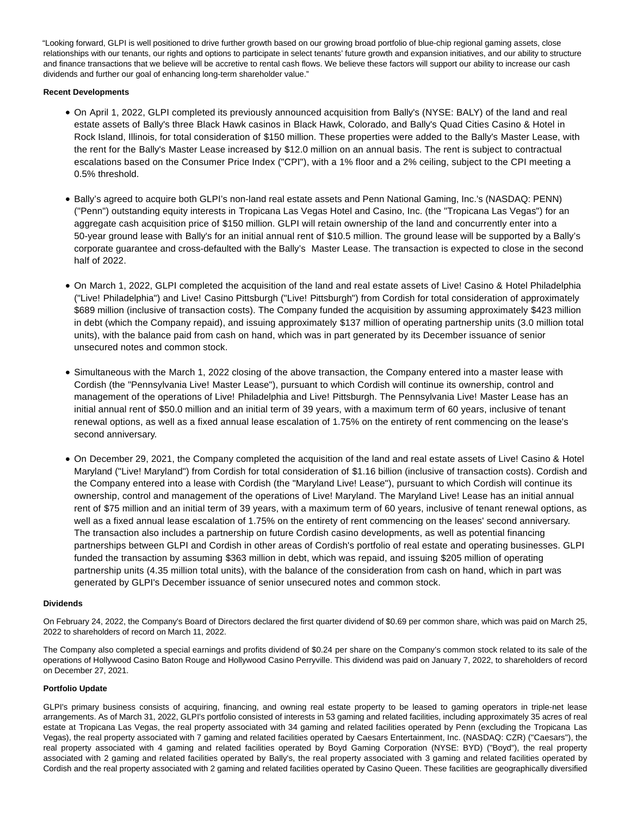"Looking forward, GLPI is well positioned to drive further growth based on our growing broad portfolio of blue-chip regional gaming assets, close relationships with our tenants, our rights and options to participate in select tenants' future growth and expansion initiatives, and our ability to structure and finance transactions that we believe will be accretive to rental cash flows. We believe these factors will support our ability to increase our cash dividends and further our goal of enhancing long-term shareholder value."

# **Recent Developments**

- On April 1, 2022, GLPI completed its previously announced acquisition from Bally's (NYSE: BALY) of the land and real estate assets of Bally's three Black Hawk casinos in Black Hawk, Colorado, and Bally's Quad Cities Casino & Hotel in Rock Island, Illinois, for total consideration of \$150 million. These properties were added to the Bally's Master Lease, with the rent for the Bally's Master Lease increased by \$12.0 million on an annual basis. The rent is subject to contractual escalations based on the Consumer Price Index ("CPI"), with a 1% floor and a 2% ceiling, subject to the CPI meeting a 0.5% threshold.
- Bally's agreed to acquire both GLPI's non-land real estate assets and Penn National Gaming, Inc.'s (NASDAQ: PENN) ("Penn") outstanding equity interests in Tropicana Las Vegas Hotel and Casino, Inc. (the "Tropicana Las Vegas") for an aggregate cash acquisition price of \$150 million. GLPI will retain ownership of the land and concurrently enter into a 50-year ground lease with Bally's for an initial annual rent of \$10.5 million. The ground lease will be supported by a Bally's corporate guarantee and cross-defaulted with the Bally's Master Lease. The transaction is expected to close in the second half of 2022.
- On March 1, 2022, GLPI completed the acquisition of the land and real estate assets of Live! Casino & Hotel Philadelphia ("Live! Philadelphia") and Live! Casino Pittsburgh ("Live! Pittsburgh") from Cordish for total consideration of approximately \$689 million (inclusive of transaction costs). The Company funded the acquisition by assuming approximately \$423 million in debt (which the Company repaid), and issuing approximately \$137 million of operating partnership units (3.0 million total units), with the balance paid from cash on hand, which was in part generated by its December issuance of senior unsecured notes and common stock.
- Simultaneous with the March 1, 2022 closing of the above transaction, the Company entered into a master lease with Cordish (the "Pennsylvania Live! Master Lease"), pursuant to which Cordish will continue its ownership, control and management of the operations of Live! Philadelphia and Live! Pittsburgh. The Pennsylvania Live! Master Lease has an initial annual rent of \$50.0 million and an initial term of 39 years, with a maximum term of 60 years, inclusive of tenant renewal options, as well as a fixed annual lease escalation of 1.75% on the entirety of rent commencing on the lease's second anniversary.
- On December 29, 2021, the Company completed the acquisition of the land and real estate assets of Live! Casino & Hotel Maryland ("Live! Maryland") from Cordish for total consideration of \$1.16 billion (inclusive of transaction costs). Cordish and the Company entered into a lease with Cordish (the "Maryland Live! Lease"), pursuant to which Cordish will continue its ownership, control and management of the operations of Live! Maryland. The Maryland Live! Lease has an initial annual rent of \$75 million and an initial term of 39 years, with a maximum term of 60 years, inclusive of tenant renewal options, as well as a fixed annual lease escalation of 1.75% on the entirety of rent commencing on the leases' second anniversary. The transaction also includes a partnership on future Cordish casino developments, as well as potential financing partnerships between GLPI and Cordish in other areas of Cordish's portfolio of real estate and operating businesses. GLPI funded the transaction by assuming \$363 million in debt, which was repaid, and issuing \$205 million of operating partnership units (4.35 million total units), with the balance of the consideration from cash on hand, which in part was generated by GLPI's December issuance of senior unsecured notes and common stock.

## **Dividends**

On February 24, 2022, the Company's Board of Directors declared the first quarter dividend of \$0.69 per common share, which was paid on March 25, 2022 to shareholders of record on March 11, 2022.

The Company also completed a special earnings and profits dividend of \$0.24 per share on the Company's common stock related to its sale of the operations of Hollywood Casino Baton Rouge and Hollywood Casino Perryville. This dividend was paid on January 7, 2022, to shareholders of record on December 27, 2021.

## **Portfolio Update**

GLPI's primary business consists of acquiring, financing, and owning real estate property to be leased to gaming operators in triple-net lease arrangements. As of March 31, 2022, GLPI's portfolio consisted of interests in 53 gaming and related facilities, including approximately 35 acres of real estate at Tropicana Las Vegas, the real property associated with 34 gaming and related facilities operated by Penn (excluding the Tropicana Las Vegas), the real property associated with 7 gaming and related facilities operated by Caesars Entertainment, Inc. (NASDAQ: CZR) ("Caesars"), the real property associated with 4 gaming and related facilities operated by Boyd Gaming Corporation (NYSE: BYD) ("Boyd"), the real property associated with 2 gaming and related facilities operated by Bally's, the real property associated with 3 gaming and related facilities operated by Cordish and the real property associated with 2 gaming and related facilities operated by Casino Queen. These facilities are geographically diversified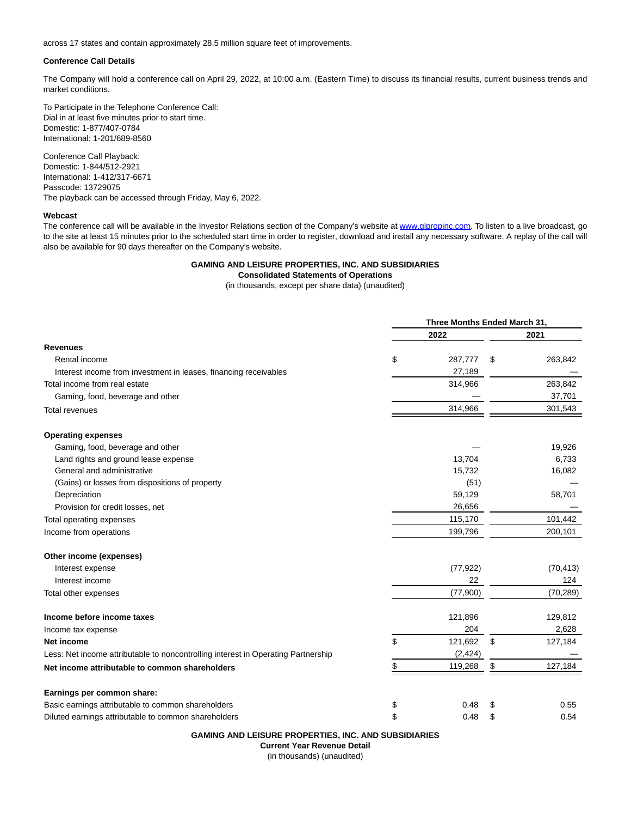across 17 states and contain approximately 28.5 million square feet of improvements.

## **Conference Call Details**

The Company will hold a conference call on April 29, 2022, at 10:00 a.m. (Eastern Time) to discuss its financial results, current business trends and market conditions.

To Participate in the Telephone Conference Call: Dial in at least five minutes prior to start time. Domestic: 1-877/407-0784 International: 1-201/689-8560

Conference Call Playback: Domestic: 1-844/512-2921 International: 1-412/317-6671 Passcode: 13729075 The playback can be accessed through Friday, May 6, 2022.

#### **Webcast**

The conference call will be available in the Investor Relations section of the Company's website at [www.glpropinc.com.](http://www.glpropinc.com/) To listen to a live broadcast, go to the site at least 15 minutes prior to the scheduled start time in order to register, download and install any necessary software. A replay of the call will also be available for 90 days thereafter on the Company's website.

# **GAMING AND LEISURE PROPERTIES, INC. AND SUBSIDIARIES**

# **Consolidated Statements of Operations**

(in thousands, except per share data) (unaudited)

**Three Months Ended March 31,**

|                                                                                   | Triree Months Ended March 31, |           |    |           |
|-----------------------------------------------------------------------------------|-------------------------------|-----------|----|-----------|
|                                                                                   |                               | 2022      |    | 2021      |
| <b>Revenues</b>                                                                   |                               |           |    |           |
| Rental income                                                                     | \$                            | 287,777   | \$ | 263,842   |
| Interest income from investment in leases, financing receivables                  |                               | 27,189    |    |           |
| Total income from real estate                                                     |                               | 314,966   |    | 263,842   |
| Gaming, food, beverage and other                                                  |                               |           |    | 37,701    |
| <b>Total revenues</b>                                                             |                               | 314,966   |    | 301,543   |
| <b>Operating expenses</b>                                                         |                               |           |    |           |
| Gaming, food, beverage and other                                                  |                               |           |    | 19,926    |
| Land rights and ground lease expense                                              |                               | 13,704    |    | 6,733     |
| General and administrative                                                        |                               | 15,732    |    | 16,082    |
| (Gains) or losses from dispositions of property                                   |                               | (51)      |    |           |
| Depreciation                                                                      |                               | 59,129    |    | 58,701    |
| Provision for credit losses, net                                                  |                               | 26,656    |    |           |
| Total operating expenses                                                          |                               | 115,170   |    | 101,442   |
| Income from operations                                                            |                               | 199,796   |    | 200,101   |
| Other income (expenses)                                                           |                               |           |    |           |
| Interest expense                                                                  |                               | (77, 922) |    | (70, 413) |
| Interest income                                                                   |                               | 22        |    | 124       |
| Total other expenses                                                              |                               | (77,900)  |    | (70, 289) |
| Income before income taxes                                                        |                               | 121,896   |    | 129,812   |
| Income tax expense                                                                |                               | 204       |    | 2,628     |
| Net income                                                                        | \$                            | 121,692   | \$ | 127,184   |
| Less: Net income attributable to noncontrolling interest in Operating Partnership |                               | (2, 424)  |    |           |
| Net income attributable to common shareholders                                    | \$                            | 119,268   | \$ | 127,184   |
| Earnings per common share:                                                        |                               |           |    |           |
| Basic earnings attributable to common shareholders                                | \$                            | 0.48      | \$ | 0.55      |
| Diluted earnings attributable to common shareholders                              | \$                            | 0.48      | \$ | 0.54      |

**GAMING AND LEISURE PROPERTIES, INC. AND SUBSIDIARIES**

**Current Year Revenue Detail**

(in thousands) (unaudited)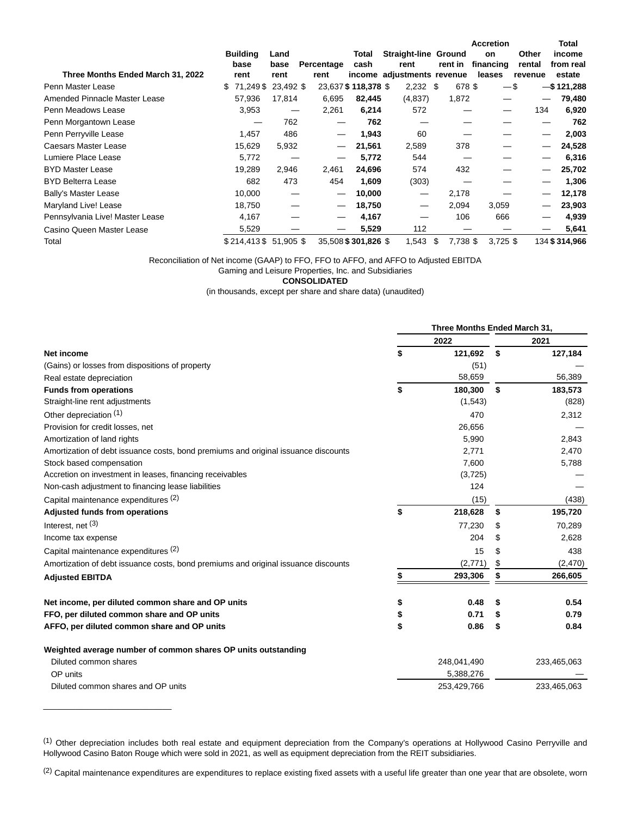|                                   |     |                       |           |            |                     |                             |                | <b>Accretion</b> |         | Total         |
|-----------------------------------|-----|-----------------------|-----------|------------|---------------------|-----------------------------|----------------|------------------|---------|---------------|
|                                   |     | <b>Building</b>       | Land      |            | Total               | <b>Straight-line Ground</b> |                | on               | Other   | income        |
|                                   |     | base                  | base      | Percentage | cash                | rent                        | rent in        | financing        | rental  | from real     |
| Three Months Ended March 31, 2022 |     | rent                  | rent      | rent       |                     | income adjustments revenue  |                | leases           | revenue | estate        |
| Penn Master Lease                 | \$. | 71,249 \$             | 23,492 \$ |            | 23,637 \$118,378 \$ | $2,232$ \$                  | 678 \$         |                  | $-$ \$  | $-$ \$121,288 |
| Amended Pinnacle Master Lease     |     | 57,936                | 17,814    | 6,695      | 82,445              | (4,837)                     | 1,872          |                  |         | 79,480        |
| Penn Meadows Lease                |     | 3,953                 |           | 2,261      | 6,214               | 572                         |                | —                | 134     | 6,920         |
| Penn Morgantown Lease             |     |                       | 762       |            | 762                 |                             |                |                  |         | 762           |
| Penn Perryville Lease             |     | 1,457                 | 486       |            | 1,943               | 60                          |                |                  |         | 2,003         |
| Caesars Master Lease              |     | 15,629                | 5,932     |            | 21,561              | 2,589                       | 378            |                  |         | 24,528        |
| Lumiere Place Lease               |     | 5.772                 |           |            | 5,772               | 544                         |                |                  |         | 6,316         |
| <b>BYD Master Lease</b>           |     | 19,289                | 2,946     | 2,461      | 24,696              | 574                         | 432            |                  |         | 25,702        |
| <b>BYD Belterra Lease</b>         |     | 682                   | 473       | 454        | 1,609               | (303)                       |                |                  |         | 1,306         |
| <b>Bally's Master Lease</b>       |     | 10,000                |           | —          | 10,000              |                             | 2,178          |                  |         | 12,178        |
| Maryland Live! Lease              |     | 18,750                |           |            | 18,750              | —                           | 2,094          | 3,059            |         | 23,903        |
| Pennsylvania Live! Master Lease   |     | 4,167                 |           | –          | 4,167               |                             | 106            | 666              |         | 4,939         |
| Casino Queen Master Lease         |     | 5,529                 |           |            | 5,529               | 112                         |                |                  |         | 5,641         |
| Total                             |     | \$214,413\$ 51,905 \$ |           |            | 35,508 \$301,826 \$ | 1,543                       | 7,738 \$<br>\$ | $3,725$ \$       |         | 134 \$314,966 |

Reconciliation of Net income (GAAP) to FFO, FFO to AFFO, and AFFO to Adjusted EBITDA

Gaming and Leisure Properties, Inc. and Subsidiaries

**CONSOLIDATED**

(in thousands, except per share and share data) (unaudited)

|                                                                                    | Three Months Ended March 31, |             |     |             |  |
|------------------------------------------------------------------------------------|------------------------------|-------------|-----|-------------|--|
|                                                                                    |                              | 2022        |     | 2021        |  |
| Net income                                                                         | \$                           | 121,692     | \$  | 127,184     |  |
| (Gains) or losses from dispositions of property                                    |                              | (51)        |     |             |  |
| Real estate depreciation                                                           |                              | 58,659      |     | 56,389      |  |
| <b>Funds from operations</b>                                                       | \$                           | 180,300     | S.  | 183,573     |  |
| Straight-line rent adjustments                                                     |                              | (1,543)     |     | (828)       |  |
| Other depreciation (1)                                                             |                              | 470         |     | 2,312       |  |
| Provision for credit losses, net                                                   |                              | 26,656      |     |             |  |
| Amortization of land rights                                                        |                              | 5,990       |     | 2,843       |  |
| Amortization of debt issuance costs, bond premiums and original issuance discounts |                              | 2,771       |     | 2,470       |  |
| Stock based compensation                                                           |                              | 7,600       |     | 5,788       |  |
| Accretion on investment in leases, financing receivables                           |                              | (3,725)     |     |             |  |
| Non-cash adjustment to financing lease liabilities                                 |                              | 124         |     |             |  |
| Capital maintenance expenditures (2)                                               |                              | (15)        |     | (438)       |  |
| <b>Adjusted funds from operations</b>                                              | \$                           | 218,628     | S   | 195,720     |  |
| Interest, net (3)                                                                  |                              | 77,230      | S   | 70,289      |  |
| Income tax expense                                                                 |                              | 204         | S   | 2,628       |  |
| Capital maintenance expenditures (2)                                               |                              | 15          | \$  | 438         |  |
| Amortization of debt issuance costs, bond premiums and original issuance discounts |                              | (2,771)     | \$. | (2,470)     |  |
| <b>Adjusted EBITDA</b>                                                             |                              | 293,306     | \$  | 266,605     |  |
| Net income, per diluted common share and OP units                                  | \$                           | 0.48        | S   | 0.54        |  |
| FFO, per diluted common share and OP units                                         | \$                           | 0.71        | S   | 0.79        |  |
| AFFO, per diluted common share and OP units                                        | \$                           | 0.86        | \$  | 0.84        |  |
| Weighted average number of common shares OP units outstanding                      |                              |             |     |             |  |
| Diluted common shares                                                              |                              | 248,041,490 |     | 233,465,063 |  |
| OP units                                                                           |                              | 5,388,276   |     |             |  |
| Diluted common shares and OP units                                                 |                              | 253,429,766 |     | 233,465,063 |  |

(1) Other depreciation includes both real estate and equipment depreciation from the Company's operations at Hollywood Casino Perryville and Hollywood Casino Baton Rouge which were sold in 2021, as well as equipment depreciation from the REIT subsidiaries.

\_\_\_\_\_\_\_\_\_\_\_\_\_\_\_\_\_\_\_\_\_\_\_\_\_\_\_\_

<sup>(2)</sup> Capital maintenance expenditures are expenditures to replace existing fixed assets with a useful life greater than one year that are obsolete, worn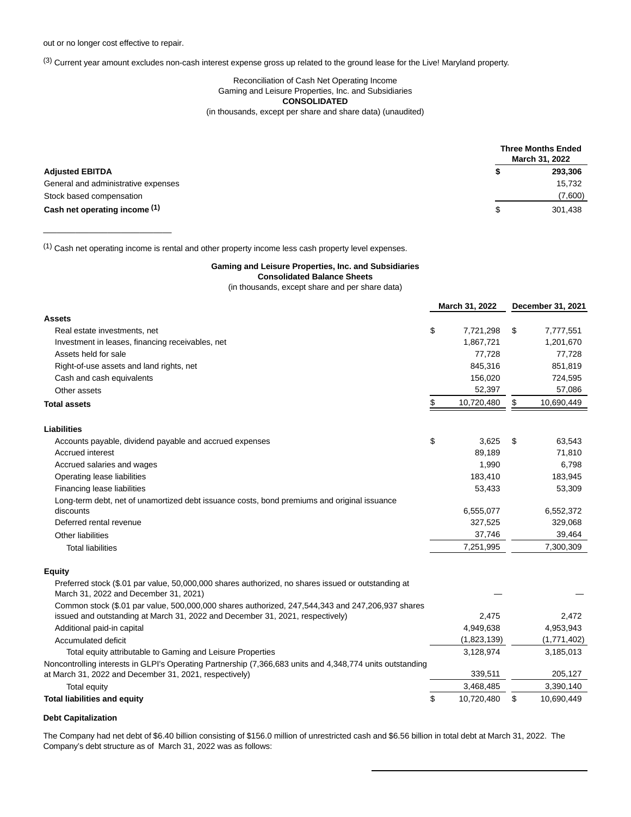\_\_\_\_\_\_\_\_\_\_\_\_\_\_\_\_\_\_\_\_\_\_\_\_\_\_\_\_

(3) Current year amount excludes non-cash interest expense gross up related to the ground lease for the Live! Maryland property.

## Reconciliation of Cash Net Operating Income Gaming and Leisure Properties, Inc. and Subsidiaries **CONSOLIDATED** (in thousands, except per share and share data) (unaudited)

|                                     | <b>Three Months Ended</b><br>March 31, 2022 |
|-------------------------------------|---------------------------------------------|
| <b>Adjusted EBITDA</b>              | 293,306                                     |
| General and administrative expenses | 15,732                                      |
| Stock based compensation            | (7,600)                                     |
| Cash net operating income (1)       | 301.438                                     |

(1) Cash net operating income is rental and other property income less cash property level expenses.

#### **Gaming and Leisure Properties, Inc. and Subsidiaries**

**Consolidated Balance Sheets**

(in thousands, except share and per share data)

|                                                                                                                                                                     | March 31, 2022   |    | December 31, 2021 |
|---------------------------------------------------------------------------------------------------------------------------------------------------------------------|------------------|----|-------------------|
| Assets                                                                                                                                                              |                  |    |                   |
| Real estate investments, net                                                                                                                                        | \$<br>7,721,298  | \$ | 7,777,551         |
| Investment in leases, financing receivables, net                                                                                                                    | 1,867,721        |    | 1,201,670         |
| Assets held for sale                                                                                                                                                | 77,728           |    | 77,728            |
| Right-of-use assets and land rights, net                                                                                                                            | 845,316          |    | 851,819           |
| Cash and cash equivalents                                                                                                                                           | 156,020          |    | 724,595           |
| Other assets                                                                                                                                                        | 52,397           |    | 57,086            |
| Total assets                                                                                                                                                        | \$<br>10,720,480 | \$ | 10,690,449        |
| Liabilities                                                                                                                                                         |                  |    |                   |
| Accounts payable, dividend payable and accrued expenses                                                                                                             | \$<br>3,625      | S  | 63,543            |
| Accrued interest                                                                                                                                                    | 89,189           |    | 71,810            |
| Accrued salaries and wages                                                                                                                                          | 1,990            |    | 6,798             |
| Operating lease liabilities                                                                                                                                         | 183,410          |    | 183,945           |
| Financing lease liabilities                                                                                                                                         | 53,433           |    | 53,309            |
| Long-term debt, net of unamortized debt issuance costs, bond premiums and original issuance                                                                         |                  |    |                   |
| discounts                                                                                                                                                           | 6,555,077        |    | 6,552,372         |
| Deferred rental revenue                                                                                                                                             | 327,525          |    | 329,068           |
| <b>Other liabilities</b>                                                                                                                                            | 37,746           |    | 39,464            |
| <b>Total liabilities</b>                                                                                                                                            | 7,251,995        |    | 7,300,309         |
| Equity                                                                                                                                                              |                  |    |                   |
| Preferred stock (\$.01 par value, 50,000,000 shares authorized, no shares issued or outstanding at<br>March 31, 2022 and December 31, 2021)                         |                  |    |                   |
| Common stock (\$.01 par value, 500,000,000 shares authorized, 247,544,343 and 247,206,937 shares                                                                    |                  |    |                   |
| issued and outstanding at March 31, 2022 and December 31, 2021, respectively)                                                                                       | 2,475            |    | 2,472             |
| Additional paid-in capital                                                                                                                                          | 4,949,638        |    | 4,953,943         |
| Accumulated deficit                                                                                                                                                 | (1,823,139)      |    | (1,771,402)       |
| Total equity attributable to Gaming and Leisure Properties                                                                                                          | 3,128,974        |    | 3,185,013         |
| Noncontrolling interests in GLPI's Operating Partnership (7,366,683 units and 4,348,774 units outstanding<br>at March 31, 2022 and December 31, 2021, respectively) | 339,511          |    | 205,127           |
| <b>Total equity</b>                                                                                                                                                 | 3,468,485        |    | 3,390,140         |
| <b>Total liabilities and equity</b>                                                                                                                                 | \$<br>10,720,480 | \$ | 10,690,449        |

## **Debt Capitalization**

The Company had net debt of \$6.40 billion consisting of \$156.0 million of unrestricted cash and \$6.56 billion in total debt at March 31, 2022. The Company's debt structure as of March 31, 2022 was as follows: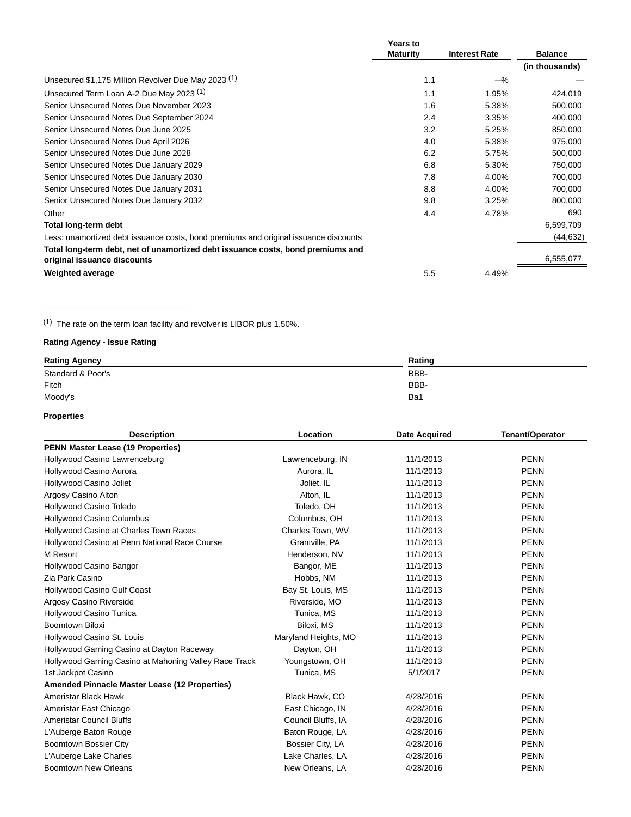|                                                                                                                | Years to        |                      |                |
|----------------------------------------------------------------------------------------------------------------|-----------------|----------------------|----------------|
|                                                                                                                | <b>Maturity</b> | <b>Interest Rate</b> | <b>Balance</b> |
|                                                                                                                |                 |                      | (in thousands) |
| Unsecured \$1,175 Million Revolver Due May 2023 (1)                                                            | 1.1             | $-\%$                |                |
| Unsecured Term Loan A-2 Due May 2023 <sup>(1)</sup>                                                            | 1.1             | 1.95%                | 424,019        |
| Senior Unsecured Notes Due November 2023                                                                       | 1.6             | 5.38%                | 500,000        |
| Senior Unsecured Notes Due September 2024                                                                      | 2.4             | 3.35%                | 400,000        |
| Senior Unsecured Notes Due June 2025                                                                           | 3.2             | 5.25%                | 850,000        |
| Senior Unsecured Notes Due April 2026                                                                          | 4.0             | 5.38%                | 975,000        |
| Senior Unsecured Notes Due June 2028                                                                           | 6.2             | 5.75%                | 500,000        |
| Senior Unsecured Notes Due January 2029                                                                        | 6.8             | 5.30%                | 750,000        |
| Senior Unsecured Notes Due January 2030                                                                        | 7.8             | 4.00%                | 700,000        |
| Senior Unsecured Notes Due January 2031                                                                        | 8.8             | 4.00%                | 700,000        |
| Senior Unsecured Notes Due January 2032                                                                        | 9.8             | 3.25%                | 800,000        |
| Other                                                                                                          | 4.4             | 4.78%                | 690            |
| Total long-term debt                                                                                           |                 |                      | 6,599,709      |
| Less: unamortized debt issuance costs, bond premiums and original issuance discounts                           |                 |                      | (44, 632)      |
| Total long-term debt, net of unamortized debt issuance costs, bond premiums and<br>original issuance discounts |                 |                      | 6,555,077      |
| <b>Weighted average</b>                                                                                        | 5.5             | 4.49%                |                |

(1) The rate on the term loan facility and revolver is LIBOR plus 1.50%.

# **Rating Agency - Issue Rating**

\_\_\_\_\_\_\_\_\_\_\_\_\_\_\_\_\_\_\_\_\_\_\_\_\_\_\_\_\_\_\_\_

| <b>Rating Agency</b> | Rating |
|----------------------|--------|
| Standard & Poor's    | BBB-   |
| Fitch                | BBB-   |
| Moody's              | Ba1    |

# **Properties**

| <b>Description</b>                                    | Location             | <b>Date Acquired</b> | <b>Tenant/Operator</b> |
|-------------------------------------------------------|----------------------|----------------------|------------------------|
| <b>PENN Master Lease (19 Properties)</b>              |                      |                      |                        |
| Hollywood Casino Lawrenceburg                         | Lawrenceburg, IN     | 11/1/2013            | <b>PENN</b>            |
| Hollywood Casino Aurora                               | Aurora, IL           | 11/1/2013            | <b>PENN</b>            |
| Hollywood Casino Joliet                               | Joliet, IL           | 11/1/2013            | <b>PENN</b>            |
| Argosy Casino Alton                                   | Alton, IL            | 11/1/2013            | <b>PENN</b>            |
| Hollywood Casino Toledo                               | Toledo, OH           | 11/1/2013            | <b>PENN</b>            |
| <b>Hollywood Casino Columbus</b>                      | Columbus, OH         | 11/1/2013            | <b>PENN</b>            |
| Hollywood Casino at Charles Town Races                | Charles Town, WV     | 11/1/2013            | <b>PENN</b>            |
| Hollywood Casino at Penn National Race Course         | Grantville, PA       | 11/1/2013            | <b>PENN</b>            |
| M Resort                                              | Henderson, NV        | 11/1/2013            | <b>PENN</b>            |
| Hollywood Casino Bangor                               | Bangor, ME           | 11/1/2013            | <b>PENN</b>            |
| Zia Park Casino                                       | Hobbs, NM            | 11/1/2013            | <b>PENN</b>            |
| <b>Hollywood Casino Gulf Coast</b>                    | Bay St. Louis, MS    | 11/1/2013            | <b>PENN</b>            |
| Argosy Casino Riverside                               | Riverside, MO        | 11/1/2013            | <b>PENN</b>            |
| Hollywood Casino Tunica                               | Tunica, MS           | 11/1/2013            | <b>PENN</b>            |
| <b>Boomtown Biloxi</b>                                | Biloxi, MS           | 11/1/2013            | <b>PENN</b>            |
| Hollywood Casino St. Louis                            | Maryland Heights, MO | 11/1/2013            | <b>PENN</b>            |
| Hollywood Gaming Casino at Dayton Raceway             | Dayton, OH           | 11/1/2013            | <b>PENN</b>            |
| Hollywood Gaming Casino at Mahoning Valley Race Track | Youngstown, OH       | 11/1/2013            | <b>PENN</b>            |
| 1st Jackpot Casino                                    | Tunica, MS           | 5/1/2017             | <b>PENN</b>            |
| <b>Amended Pinnacle Master Lease (12 Properties)</b>  |                      |                      |                        |
| Ameristar Black Hawk                                  | Black Hawk, CO       | 4/28/2016            | <b>PENN</b>            |
| Ameristar East Chicago                                | East Chicago, IN     | 4/28/2016            | <b>PENN</b>            |
| <b>Ameristar Council Bluffs</b>                       | Council Bluffs, IA   | 4/28/2016            | <b>PENN</b>            |
| L'Auberge Baton Rouge                                 | Baton Rouge, LA      | 4/28/2016            | <b>PENN</b>            |
| Boomtown Bossier City                                 | Bossier City, LA     | 4/28/2016            | <b>PENN</b>            |
| L'Auberge Lake Charles                                | Lake Charles, LA     | 4/28/2016            | <b>PENN</b>            |
| Boomtown New Orleans                                  | New Orleans, LA      | 4/28/2016            | <b>PENN</b>            |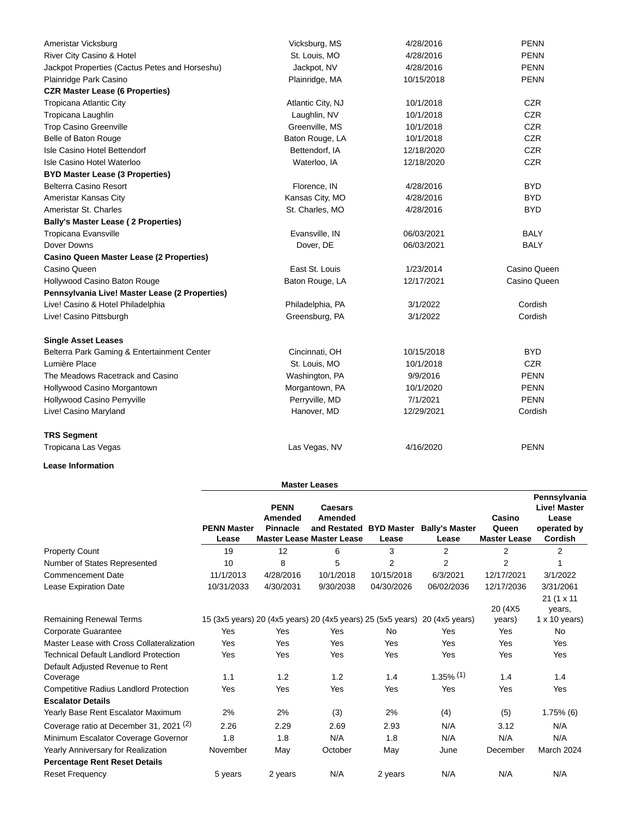| Ameristar Vicksburg                             | Vicksburg, MS     | 4/28/2016  | <b>PENN</b>  |
|-------------------------------------------------|-------------------|------------|--------------|
| River City Casino & Hotel                       | St. Louis, MO     | 4/28/2016  | <b>PENN</b>  |
| Jackpot Properties (Cactus Petes and Horseshu)  | Jackpot, NV       | 4/28/2016  | <b>PENN</b>  |
| Plainridge Park Casino                          | Plainridge, MA    | 10/15/2018 | <b>PENN</b>  |
| <b>CZR Master Lease (6 Properties)</b>          |                   |            |              |
| <b>Tropicana Atlantic City</b>                  | Atlantic City, NJ | 10/1/2018  | <b>CZR</b>   |
| Tropicana Laughlin                              | Laughlin, NV      | 10/1/2018  | <b>CZR</b>   |
| <b>Trop Casino Greenville</b>                   | Greenville, MS    | 10/1/2018  | <b>CZR</b>   |
| Belle of Baton Rouge                            | Baton Rouge, LA   | 10/1/2018  | <b>CZR</b>   |
| Isle Casino Hotel Bettendorf                    | Bettendorf, IA    | 12/18/2020 | <b>CZR</b>   |
| Isle Casino Hotel Waterloo                      | Waterloo, IA      | 12/18/2020 | <b>CZR</b>   |
| <b>BYD Master Lease (3 Properties)</b>          |                   |            |              |
| Belterra Casino Resort                          | Florence, IN      | 4/28/2016  | BYD.         |
| Ameristar Kansas City                           | Kansas City, MO   | 4/28/2016  | <b>BYD</b>   |
| Ameristar St. Charles                           | St. Charles, MO   | 4/28/2016  | <b>BYD</b>   |
| <b>Bally's Master Lease (2 Properties)</b>      |                   |            |              |
| Tropicana Evansville                            | Evansville, IN    | 06/03/2021 | <b>BALY</b>  |
| Dover Downs                                     | Dover, DE         | 06/03/2021 | <b>BALY</b>  |
| <b>Casino Queen Master Lease (2 Properties)</b> |                   |            |              |
| Casino Queen                                    | East St. Louis    | 1/23/2014  | Casino Queen |
| Hollywood Casino Baton Rouge                    | Baton Rouge, LA   | 12/17/2021 | Casino Queen |
| Pennsylvania Live! Master Lease (2 Properties)  |                   |            |              |
| Live! Casino & Hotel Philadelphia               | Philadelphia, PA  | 3/1/2022   | Cordish      |
| Live! Casino Pittsburgh                         | Greensburg, PA    | 3/1/2022   | Cordish      |
| <b>Single Asset Leases</b>                      |                   |            |              |
| Belterra Park Gaming & Entertainment Center     | Cincinnati, OH    | 10/15/2018 | <b>BYD</b>   |
| Lumière Place                                   | St. Louis, MO     | 10/1/2018  | <b>CZR</b>   |
| The Meadows Racetrack and Casino                | Washington, PA    | 9/9/2016   | <b>PENN</b>  |
| Hollywood Casino Morgantown                     | Morgantown, PA    | 10/1/2020  | <b>PENN</b>  |
| Hollywood Casino Perryville                     | Perryville, MD    | 7/1/2021   | <b>PENN</b>  |
| Live! Casino Maryland                           | Hanover, MD       | 12/29/2021 | Cordish      |
| <b>TRS Segment</b>                              |                   |            |              |
| Tropicana Las Vegas                             | Las Vegas, NV     | 4/16/2020  | <b>PENN</b>  |

# **Lease Information**

| <b>Master Leases</b> |  |
|----------------------|--|

|                                                                                  | <b>PENN Master</b><br>Lease | <b>PENN</b><br>Amended<br><b>Pinnacle</b> | <b>Caesars</b><br>Amended<br>and Restated<br><b>Master Lease Master Lease</b> | <b>BYD Master</b><br>Lease | <b>Bally's Master</b><br>Lease | Casino<br>Queen<br><b>Master Lease</b> | Pennsylvania<br><b>Live! Master</b><br>Lease<br>operated by<br>Cordish |
|----------------------------------------------------------------------------------|-----------------------------|-------------------------------------------|-------------------------------------------------------------------------------|----------------------------|--------------------------------|----------------------------------------|------------------------------------------------------------------------|
| <b>Property Count</b>                                                            | 19                          | 12                                        | 6                                                                             | 3                          | $\overline{2}$                 | $\overline{2}$                         | $\overline{2}$                                                         |
| Number of States Represented                                                     | 10                          | 8                                         | 5                                                                             | $\overline{2}$             | $\overline{2}$                 | $\overline{2}$                         |                                                                        |
| <b>Commencement Date</b>                                                         | 11/1/2013                   | 4/28/2016                                 | 10/1/2018                                                                     | 10/15/2018                 | 6/3/2021                       | 12/17/2021                             | 3/1/2022                                                               |
| <b>Lease Expiration Date</b>                                                     | 10/31/2033                  | 4/30/2031                                 | 9/30/2038                                                                     | 04/30/2026                 | 06/02/2036                     | 12/17/2036                             | 3/31/2061<br>21 (1 x 11                                                |
| <b>Remaining Renewal Terms</b>                                                   |                             |                                           | 15 (3x5 years) 20 (4x5 years) 20 (4x5 years) 25 (5x5 years)                   |                            | 20 (4x5 years)                 | 20 (4X5)<br>years)                     | years,<br>$1 \times 10$ years)                                         |
| Corporate Guarantee                                                              | Yes                         | <b>Yes</b>                                | Yes                                                                           | <b>No</b>                  | Yes                            | Yes                                    | No.                                                                    |
| Master Lease with Cross Collateralization                                        | Yes                         | Yes                                       | Yes                                                                           | Yes                        | <b>Yes</b>                     | Yes                                    | Yes                                                                    |
| <b>Technical Default Landlord Protection</b><br>Default Adjusted Revenue to Rent | Yes                         | Yes                                       | Yes                                                                           | Yes                        | Yes                            | Yes                                    | Yes                                                                    |
| Coverage                                                                         | 1.1                         | 1.2                                       | 1.2                                                                           | 1.4                        | $1.35\%$ (1)                   | 1.4                                    | 1.4                                                                    |
| <b>Competitive Radius Landlord Protection</b><br><b>Escalator Details</b>        | Yes                         | Yes                                       | Yes                                                                           | Yes                        | Yes                            | Yes                                    | Yes                                                                    |
| Yearly Base Rent Escalator Maximum                                               | 2%                          | 2%                                        | (3)                                                                           | 2%                         | (4)                            | (5)                                    | $1.75\%$ (6)                                                           |
| Coverage ratio at December 31, 2021 <sup>(2)</sup>                               | 2.26                        | 2.29                                      | 2.69                                                                          | 2.93                       | N/A                            | 3.12                                   | N/A                                                                    |
| Minimum Escalator Coverage Governor                                              | 1.8                         | 1.8                                       | N/A                                                                           | 1.8                        | N/A                            | N/A                                    | N/A                                                                    |
| Yearly Anniversary for Realization<br><b>Percentage Rent Reset Details</b>       | November                    | May                                       | October                                                                       | May                        | June                           | December                               | March 2024                                                             |
| <b>Reset Frequency</b>                                                           | 5 years                     | 2 years                                   | N/A                                                                           | 2 years                    | N/A                            | N/A                                    | N/A                                                                    |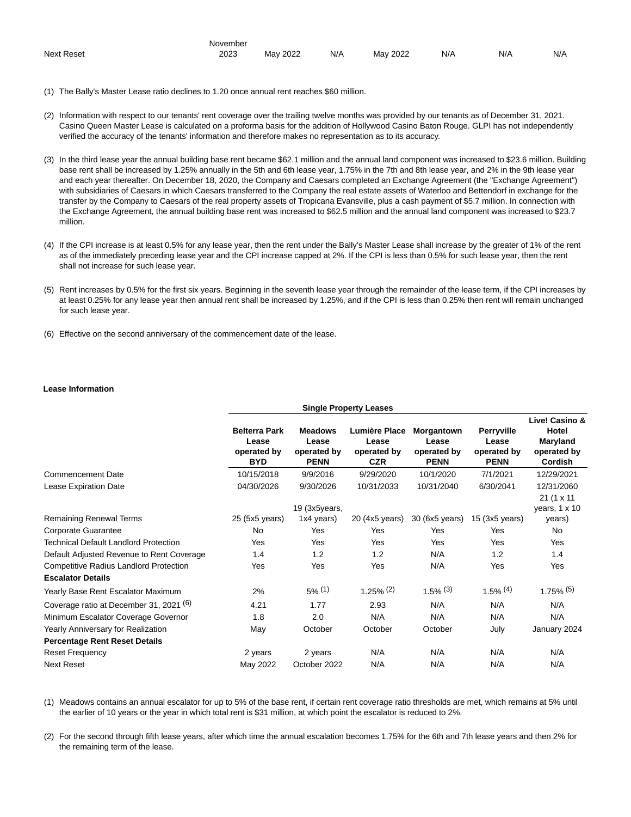|                        | November              |                                                          |     |             |     |                                           |     |
|------------------------|-----------------------|----------------------------------------------------------|-----|-------------|-----|-------------------------------------------|-----|
| <b>Next Reset</b><br>. | 2023<br>$\sim$ $\sim$ | 2022<br>Mav<br>$\sim$ $\sim$ $\sim$ $\sim$ $\sim$ $\sim$ | N/A | 2022<br>May | N/A | N/A<br>$\sim$ $\sim$ $\sim$ $\sim$ $\sim$ | N/f |

- (1) The Bally's Master Lease ratio declines to 1.20 once annual rent reaches \$60 million.
- (2) Information with respect to our tenants' rent coverage over the trailing twelve months was provided by our tenants as of December 31, 2021. Casino Queen Master Lease is calculated on a proforma basis for the addition of Hollywood Casino Baton Rouge. GLPI has not independently verified the accuracy of the tenants' information and therefore makes no representation as to its accuracy.
- (3) In the third lease year the annual building base rent became \$62.1 million and the annual land component was increased to \$23.6 million. Building base rent shall be increased by 1.25% annually in the 5th and 6th lease year, 1.75% in the 7th and 8th lease year, and 2% in the 9th lease year and each year thereafter. On December 18, 2020, the Company and Caesars completed an Exchange Agreement (the "Exchange Agreement") with subsidiaries of Caesars in which Caesars transferred to the Company the real estate assets of Waterloo and Bettendorf in exchange for the transfer by the Company to Caesars of the real property assets of Tropicana Evansville, plus a cash payment of \$5.7 million. In connection with the Exchange Agreement, the annual building base rent was increased to \$62.5 million and the annual land component was increased to \$23.7 million.
- (4) If the CPI increase is at least 0.5% for any lease year, then the rent under the Bally's Master Lease shall increase by the greater of 1% of the rent as of the immediately preceding lease year and the CPI increase capped at 2%. If the CPI is less than 0.5% for such lease year, then the rent shall not increase for such lease year.
- (5) Rent increases by 0.5% for the first six years. Beginning in the seventh lease year through the remainder of the lease term, if the CPI increases by at least 0.25% for any lease year then annual rent shall be increased by 1.25%, and if the CPI is less than 0.25% then rent will remain unchanged for such lease year.
- (6) Effective on the second anniversary of the commencement date of the lease.

#### **Lease Information**

|                                                    | <b>Single Property Leases</b>                              |                                                       |                                                     |                                                   |                                                          |                                                               |  |
|----------------------------------------------------|------------------------------------------------------------|-------------------------------------------------------|-----------------------------------------------------|---------------------------------------------------|----------------------------------------------------------|---------------------------------------------------------------|--|
|                                                    | <b>Belterra Park</b><br>Lease<br>operated by<br><b>BYD</b> | <b>Meadows</b><br>Lease<br>operated by<br><b>PENN</b> | Lumière Place<br>Lease<br>operated by<br><b>CZR</b> | Morgantown<br>Lease<br>operated by<br><b>PENN</b> | <b>Perryville</b><br>Lease<br>operated by<br><b>PENN</b> | Live! Casino &<br>Hotel<br>Maryland<br>operated by<br>Cordish |  |
| <b>Commencement Date</b>                           | 10/15/2018                                                 | 9/9/2016                                              | 9/29/2020                                           | 10/1/2020                                         | 7/1/2021                                                 | 12/29/2021                                                    |  |
| Lease Expiration Date                              | 04/30/2026                                                 | 9/30/2026                                             | 10/31/2033                                          | 10/31/2040                                        | 6/30/2041                                                | 12/31/2060                                                    |  |
|                                                    |                                                            | 19 (3x5years,                                         |                                                     |                                                   |                                                          | 21 (1 x 11<br>years, $1 \times 10$                            |  |
| <b>Remaining Renewal Terms</b>                     | 25 (5x5 years)                                             | 1x4 years)                                            | 20 (4x5 years)                                      | 30 (6x5 years)                                    | $15$ (3x5 years)                                         | years)                                                        |  |
| Corporate Guarantee                                | <b>No</b>                                                  | Yes                                                   | Yes                                                 | Yes                                               | Yes                                                      | No                                                            |  |
| <b>Technical Default Landlord Protection</b>       | Yes                                                        | Yes                                                   | Yes                                                 | Yes                                               | <b>Yes</b>                                               | <b>Yes</b>                                                    |  |
| Default Adjusted Revenue to Rent Coverage          | 1.4                                                        | 1.2                                                   | 1.2                                                 | N/A                                               | 1.2                                                      | 1.4                                                           |  |
| <b>Competitive Radius Landlord Protection</b>      | Yes                                                        | Yes                                                   | Yes                                                 | N/A                                               | Yes                                                      | <b>Yes</b>                                                    |  |
| <b>Escalator Details</b>                           |                                                            |                                                       |                                                     |                                                   |                                                          |                                                               |  |
| Yearly Base Rent Escalator Maximum                 | 2%                                                         | $5\%$ (1)                                             | $1.25\%$ <sup>(2)</sup>                             | $1.5\%$ (3)                                       | $1.5\%$ (4)                                              | $1.75\%$ (5)                                                  |  |
| Coverage ratio at December 31, 2021 <sup>(6)</sup> | 4.21                                                       | 1.77                                                  | 2.93                                                | N/A                                               | N/A                                                      | N/A                                                           |  |
| Minimum Escalator Coverage Governor                | 1.8                                                        | 2.0                                                   | N/A                                                 | N/A                                               | N/A                                                      | N/A                                                           |  |
| Yearly Anniversary for Realization                 | May                                                        | October                                               | October                                             | October                                           | July                                                     | January 2024                                                  |  |
| <b>Percentage Rent Reset Details</b>               |                                                            |                                                       |                                                     |                                                   |                                                          |                                                               |  |
| <b>Reset Frequency</b>                             | 2 years                                                    | 2 years                                               | N/A                                                 | N/A                                               | N/A                                                      | N/A                                                           |  |
| <b>Next Reset</b>                                  | May 2022                                                   | October 2022                                          | N/A                                                 | N/A                                               | N/A                                                      | N/A                                                           |  |

(1) Meadows contains an annual escalator for up to 5% of the base rent, if certain rent coverage ratio thresholds are met, which remains at 5% until the earlier of 10 years or the year in which total rent is \$31 million, at which point the escalator is reduced to 2%.

(2) For the second through fifth lease years, after which time the annual escalation becomes 1.75% for the 6th and 7th lease years and then 2% for the remaining term of the lease.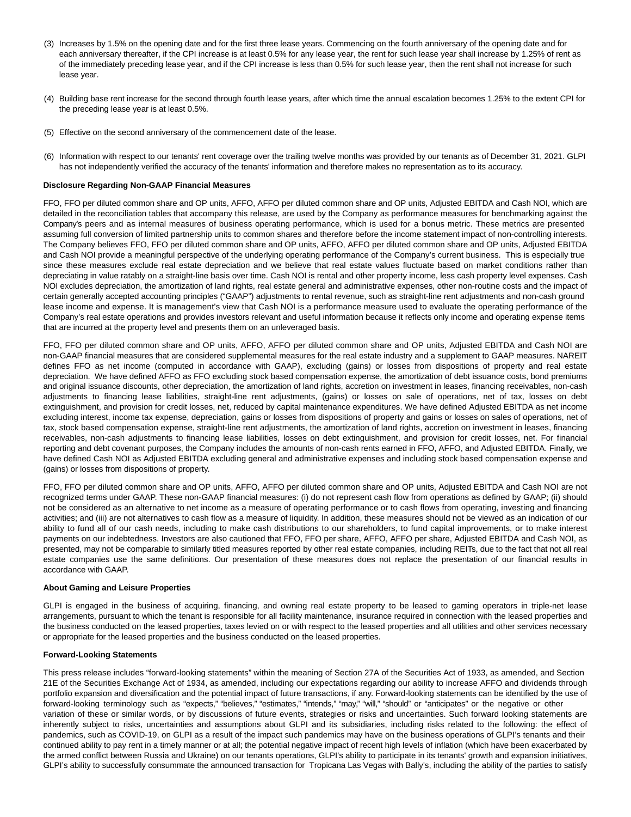- (3) Increases by 1.5% on the opening date and for the first three lease years. Commencing on the fourth anniversary of the opening date and for each anniversary thereafter, if the CPI increase is at least 0.5% for any lease year, the rent for such lease year shall increase by 1.25% of rent as of the immediately preceding lease year, and if the CPI increase is less than 0.5% for such lease year, then the rent shall not increase for such lease year.
- (4) Building base rent increase for the second through fourth lease years, after which time the annual escalation becomes 1.25% to the extent CPI for the preceding lease year is at least 0.5%.
- (5) Effective on the second anniversary of the commencement date of the lease.
- (6) Information with respect to our tenants' rent coverage over the trailing twelve months was provided by our tenants as of December 31, 2021. GLPI has not independently verified the accuracy of the tenants' information and therefore makes no representation as to its accuracy.

#### **Disclosure Regarding Non-GAAP Financial Measures**

FFO, FFO per diluted common share and OP units, AFFO, AFFO per diluted common share and OP units, Adjusted EBITDA and Cash NOI, which are detailed in the reconciliation tables that accompany this release, are used by the Company as performance measures for benchmarking against the Company's peers and as internal measures of business operating performance, which is used for a bonus metric. These metrics are presented assuming full conversion of limited partnership units to common shares and therefore before the income statement impact of non-controlling interests. The Company believes FFO, FFO per diluted common share and OP units, AFFO, AFFO per diluted common share and OP units, Adjusted EBITDA and Cash NOI provide a meaningful perspective of the underlying operating performance of the Company's current business. This is especially true since these measures exclude real estate depreciation and we believe that real estate values fluctuate based on market conditions rather than depreciating in value ratably on a straight-line basis over time. Cash NOI is rental and other property income, less cash property level expenses. Cash NOI excludes depreciation, the amortization of land rights, real estate general and administrative expenses, other non-routine costs and the impact of certain generally accepted accounting principles ("GAAP") adjustments to rental revenue, such as straight-line rent adjustments and non-cash ground lease income and expense. It is management's view that Cash NOI is a performance measure used to evaluate the operating performance of the Company's real estate operations and provides investors relevant and useful information because it reflects only income and operating expense items that are incurred at the property level and presents them on an unleveraged basis.

FFO, FFO per diluted common share and OP units, AFFO, AFFO per diluted common share and OP units, Adjusted EBITDA and Cash NOI are non-GAAP financial measures that are considered supplemental measures for the real estate industry and a supplement to GAAP measures. NAREIT defines FFO as net income (computed in accordance with GAAP), excluding (gains) or losses from dispositions of property and real estate depreciation. We have defined AFFO as FFO excluding stock based compensation expense, the amortization of debt issuance costs, bond premiums and original issuance discounts, other depreciation, the amortization of land rights, accretion on investment in leases, financing receivables, non-cash adjustments to financing lease liabilities, straight-line rent adjustments, (gains) or losses on sale of operations, net of tax, losses on debt extinguishment, and provision for credit losses, net, reduced by capital maintenance expenditures. We have defined Adjusted EBITDA as net income excluding interest, income tax expense, depreciation, gains or losses from dispositions of property and gains or losses on sales of operations, net of tax, stock based compensation expense, straight-line rent adjustments, the amortization of land rights, accretion on investment in leases, financing receivables, non-cash adjustments to financing lease liabilities, losses on debt extinguishment, and provision for credit losses, net. For financial reporting and debt covenant purposes, the Company includes the amounts of non-cash rents earned in FFO, AFFO, and Adjusted EBITDA. Finally, we have defined Cash NOI as Adjusted EBITDA excluding general and administrative expenses and including stock based compensation expense and (gains) or losses from dispositions of property.

FFO, FFO per diluted common share and OP units, AFFO, AFFO per diluted common share and OP units, Adjusted EBITDA and Cash NOI are not recognized terms under GAAP. These non-GAAP financial measures: (i) do not represent cash flow from operations as defined by GAAP; (ii) should not be considered as an alternative to net income as a measure of operating performance or to cash flows from operating, investing and financing activities; and (iii) are not alternatives to cash flow as a measure of liquidity. In addition, these measures should not be viewed as an indication of our ability to fund all of our cash needs, including to make cash distributions to our shareholders, to fund capital improvements, or to make interest payments on our indebtedness. Investors are also cautioned that FFO, FFO per share, AFFO, AFFO per share, Adjusted EBITDA and Cash NOI, as presented, may not be comparable to similarly titled measures reported by other real estate companies, including REITs, due to the fact that not all real estate companies use the same definitions. Our presentation of these measures does not replace the presentation of our financial results in accordance with GAAP.

#### **About Gaming and Leisure Properties**

GLPI is engaged in the business of acquiring, financing, and owning real estate property to be leased to gaming operators in triple-net lease arrangements, pursuant to which the tenant is responsible for all facility maintenance, insurance required in connection with the leased properties and the business conducted on the leased properties, taxes levied on or with respect to the leased properties and all utilities and other services necessary or appropriate for the leased properties and the business conducted on the leased properties.

#### **Forward-Looking Statements**

This press release includes "forward-looking statements" within the meaning of Section 27A of the Securities Act of 1933, as amended, and Section 21E of the Securities Exchange Act of 1934, as amended, including our expectations regarding our ability to increase AFFO and dividends through portfolio expansion and diversification and the potential impact of future transactions, if any. Forward-looking statements can be identified by the use of forward-looking terminology such as "expects," "believes," "estimates," "intends," "may," "will," "should" or "anticipates" or the negative or other variation of these or similar words, or by discussions of future events, strategies or risks and uncertainties. Such forward looking statements are inherently subject to risks, uncertainties and assumptions about GLPI and its subsidiaries, including risks related to the following: the effect of pandemics, such as COVID-19, on GLPI as a result of the impact such pandemics may have on the business operations of GLPI's tenants and their continued ability to pay rent in a timely manner or at all; the potential negative impact of recent high levels of inflation (which have been exacerbated by the armed conflict between Russia and Ukraine) on our tenants operations, GLPI's ability to participate in its tenants' growth and expansion initiatives, GLPI's ability to successfully consummate the announced transaction for Tropicana Las Vegas with Bally's, including the ability of the parties to satisfy